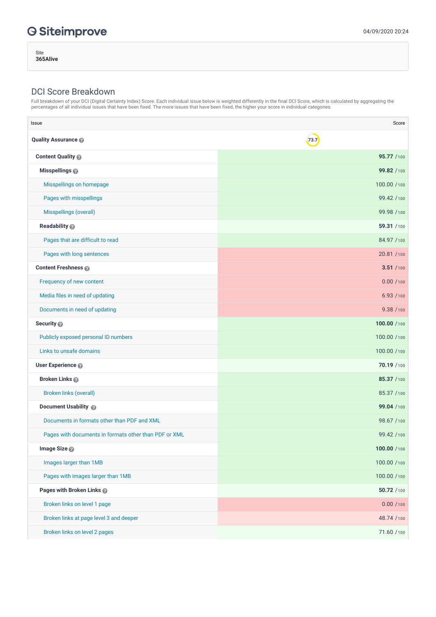Site **365Alive**

## DCI Score Breakdown

Full breakdown of your DCI (Digital Certainty Index) Score. Each individual issue below is weighted differently in the final DCI Score, which is calculated by aggregating the percentages of all individual issues that have been fixed. The more issues that have been fixed, the higher your score in individual categories.

| Issue                                                 | Score        |
|-------------------------------------------------------|--------------|
| <b>Quality Assurance</b>                              | 73.7         |
| Content Quality                                       | 95.77 /100   |
| Misspellings @                                        | 99.82 /100   |
| Misspellings on homepage                              | 100.00 /100  |
| Pages with misspellings                               | 99.42 /100   |
| Misspellings (overall)                                | 99.98 /100   |
| Readability @                                         | 59.31 /100   |
| Pages that are difficult to read                      | 84.97 /100   |
| Pages with long sentences                             | 20.81 / 100  |
| <b>Content Freshness</b>                              | 3.51 / 100   |
| Frequency of new content                              | 0.00 / 100   |
| Media files in need of updating                       | 6.93/100     |
| Documents in need of updating                         | 9.38 / 100   |
| Security <sup>®</sup>                                 | 100.00 /100  |
| Publicly exposed personal ID numbers                  | 100.00 /100  |
| Links to unsafe domains                               | 100.00 /100  |
| User Experience @                                     | 70.19 /100   |
| <b>Broken Links</b>                                   | 85.37 /100   |
| <b>Broken links (overall)</b>                         | 85.37 /100   |
| Document Usability @                                  | 99.04 /100   |
| Documents in formats other than PDF and XML           | 98.67 /100   |
| Pages with documents in formats other than PDF or XML | 99.42 /100   |
| Image Size                                            | 100.00 / 100 |
| Images larger than 1MB                                | 100.00 /100  |
| Pages with images larger than 1MB                     | 100.00 /100  |
| Pages with Broken Links                               | 50.72 /100   |
| Broken links on level 1 page                          | 0.00 / 100   |
| Broken links at page level 3 and deeper               | 48.74 / 100  |
| Broken links on level 2 pages                         | 71.60 / 100  |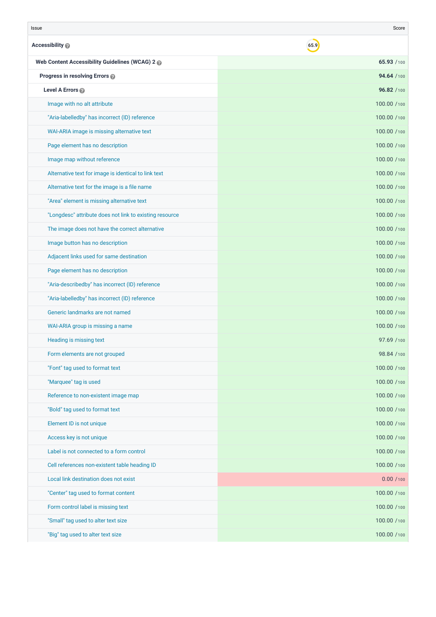| Issue                                                   | Score        |
|---------------------------------------------------------|--------------|
| Accessibility                                           | 65.9         |
| Web Content Accessibility Guidelines (WCAG) 2           | 65.93 /100   |
| Progress in resolving Errors @                          | 94.64 / 100  |
| Level A Errors                                          | 96.82 / 100  |
| Image with no alt attribute                             | 100.00 /100  |
| "Aria-labelledby" has incorrect (ID) reference          | 100.00 /100  |
| WAI-ARIA image is missing alternative text              | 100.00 /100  |
| Page element has no description                         | 100.00 /100  |
| Image map without reference                             | 100.00 /100  |
| Alternative text for image is identical to link text    | 100.00 /100  |
| Alternative text for the image is a file name           | 100.00 /100  |
| "Area" element is missing alternative text              | 100.00 /100  |
| "Longdesc" attribute does not link to existing resource | 100.00 /100  |
| The image does not have the correct alternative         | 100.00 /100  |
| Image button has no description                         | 100.00 /100  |
| Adjacent links used for same destination                | 100.00 /100  |
| Page element has no description                         | 100.00 /100  |
| "Aria-describedby" has incorrect (ID) reference         | 100.00 /100  |
| "Aria-labelledby" has incorrect (ID) reference          | 100.00 /100  |
| Generic landmarks are not named                         | 100.00 /100  |
| WAI-ARIA group is missing a name                        | 100.00 /100  |
| Heading is missing text                                 | 97.69 / 100  |
| Form elements are not grouped                           | 98.84 /100   |
| "Font" tag used to format text                          | 100.00 / 100 |
| "Marquee" tag is used                                   | 100.00 /100  |
| Reference to non-existent image map                     | 100.00 /100  |
| "Bold" tag used to format text                          | 100.00 /100  |
| Element ID is not unique                                | 100.00 /100  |
| Access key is not unique                                | 100.00 /100  |
| Label is not connected to a form control                | 100.00 /100  |
| Cell references non-existent table heading ID           | 100.00 /100  |
| Local link destination does not exist                   | 0.00 / 100   |
| "Center" tag used to format content                     | 100.00 /100  |
| Form control label is missing text                      | 100.00 /100  |
| "Small" tag used to alter text size                     | 100.00 /100  |
| "Big" tag used to alter text size                       | 100.00 /100  |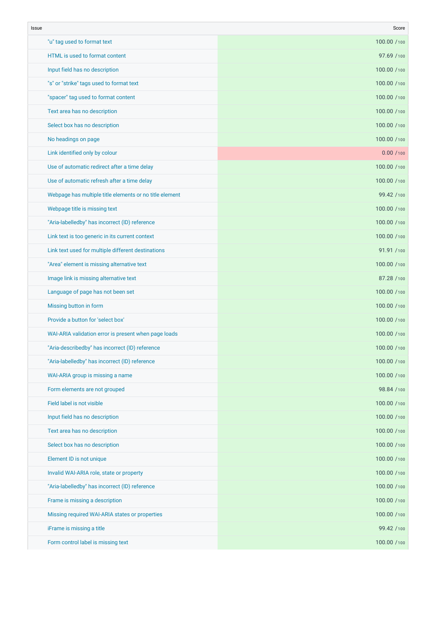| Issue                                                   | Score       |
|---------------------------------------------------------|-------------|
| "u" tag used to format text                             | 100.00 /100 |
| HTML is used to format content                          | 97.69 / 100 |
| Input field has no description                          | 100.00 /100 |
| "s" or "strike" tags used to format text                | 100.00 /100 |
| "spacer" tag used to format content                     | 100.00 /100 |
| Text area has no description                            | 100.00 /100 |
| Select box has no description                           | 100.00 /100 |
| No headings on page                                     | 100.00 /100 |
| Link identified only by colour                          | 0.00 / 100  |
| Use of automatic redirect after a time delay            | 100.00 /100 |
| Use of automatic refresh after a time delay             | 100.00 /100 |
| Webpage has multiple title elements or no title element | 99.42 /100  |
| Webpage title is missing text                           | 100.00 /100 |
| "Aria-labelledby" has incorrect (ID) reference          | 100.00 /100 |
| Link text is too generic in its current context         | 100.00 /100 |
| Link text used for multiple different destinations      | 91.91 / 100 |
| "Area" element is missing alternative text              | 100.00 /100 |
| Image link is missing alternative text                  | 87.28 / 100 |
| Language of page has not been set                       | 100.00 /100 |
| Missing button in form                                  | 100.00 /100 |
| Provide a button for 'select box'                       | 100.00 /100 |
| WAI-ARIA validation error is present when page loads    | 100.00 /100 |
| "Aria-describedby" has incorrect (ID) reference         | 100.00 /100 |
| "Aria-labelledby" has incorrect (ID) reference          | 100.00 /100 |
| WAI-ARIA group is missing a name                        | 100.00 /100 |
| Form elements are not grouped                           | 98.84 / 100 |
| Field label is not visible                              | 100.00 /100 |
| Input field has no description                          | 100.00 /100 |
| Text area has no description                            | 100.00 /100 |
| Select box has no description                           | 100.00 /100 |
| Element ID is not unique                                | 100.00 /100 |
| Invalid WAI-ARIA role, state or property                | 100.00 /100 |
| "Aria-labelledby" has incorrect (ID) reference          | 100.00 /100 |
| Frame is missing a description                          | 100.00 /100 |
| Missing required WAI-ARIA states or properties          | 100.00 /100 |
| iFrame is missing a title                               | 99.42 /100  |
| Form control label is missing text                      | 100.00 /100 |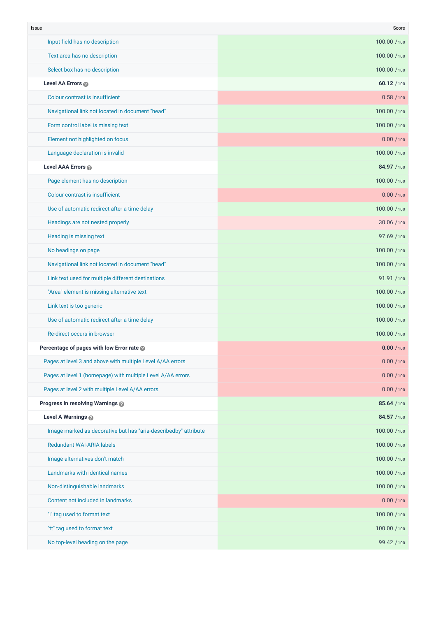| Issue                                                           | Score       |
|-----------------------------------------------------------------|-------------|
| Input field has no description                                  | 100.00 /100 |
| Text area has no description                                    | 100.00 /100 |
| Select box has no description                                   | 100.00 /100 |
| Level AA Errors                                                 | 60.12 / 100 |
| Colour contrast is insufficient                                 | 0.58 / 100  |
| Navigational link not located in document "head"                | 100.00 /100 |
| Form control label is missing text                              | 100.00 /100 |
| Element not highlighted on focus                                | 0.00 / 100  |
| Language declaration is invalid                                 | 100.00 /100 |
| Level AAA Errors                                                | 84.97 /100  |
| Page element has no description                                 | 100.00 /100 |
| Colour contrast is insufficient                                 | 0.00 / 100  |
| Use of automatic redirect after a time delay                    | 100.00 /100 |
| Headings are not nested properly                                | 30.06 / 100 |
| Heading is missing text                                         | 97.69 / 100 |
| No headings on page                                             | 100.00 /100 |
| Navigational link not located in document "head"                | 100.00 /100 |
| Link text used for multiple different destinations              | 91.91 / 100 |
| "Area" element is missing alternative text                      | 100.00 /100 |
| Link text is too generic                                        | 100.00 /100 |
| Use of automatic redirect after a time delay                    | 100.00 /100 |
| Re-direct occurs in browser                                     | 100.00 /100 |
| Percentage of pages with low Error rate @                       | 0.00 / 100  |
| Pages at level 3 and above with multiple Level A/AA errors      | 0.00 / 100  |
| Pages at level 1 (homepage) with multiple Level A/AA errors     | 0.00 / 100  |
| Pages at level 2 with multiple Level A/AA errors                | 0.00 / 100  |
| Progress in resolving Warnings                                  | 85.64 /100  |
| Level A Warnings                                                | 84.57 /100  |
| Image marked as decorative but has "aria-describedby" attribute | 100.00 /100 |
| <b>Redundant WAI-ARIA labels</b>                                | 100.00 /100 |
| Image alternatives don't match                                  | 100.00 /100 |
| Landmarks with identical names                                  | 100.00 /100 |
| Non-distinguishable landmarks                                   | 100.00 /100 |
| Content not included in landmarks                               | 0.00 / 100  |
| "i" tag used to format text                                     | 100.00 /100 |
| "tt" tag used to format text                                    | 100.00 /100 |
| No top-level heading on the page                                | 99.42 / 100 |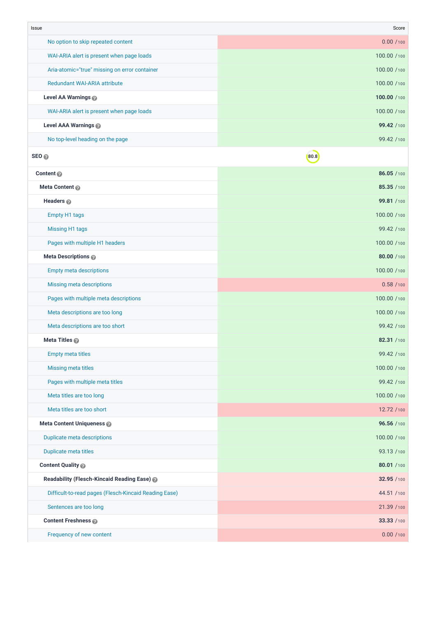| Issue                                                 | Score       |
|-------------------------------------------------------|-------------|
| No option to skip repeated content                    | 0.00 / 100  |
| WAI-ARIA alert is present when page loads             | 100.00 /100 |
| Aria-atomic="true" missing on error container         | 100.00 /100 |
| <b>Redundant WAI-ARIA attribute</b>                   | 100.00 /100 |
| Level AA Warnings                                     | 100.00 /100 |
| WAI-ARIA alert is present when page loads             | 100.00 /100 |
| Level AAA Warnings                                    | 99.42 /100  |
| No top-level heading on the page                      | 99.42 /100  |
| SEO <sub>®</sub>                                      | 80.8        |
| Content @                                             | 86.05 /100  |
| Meta Content @                                        | 85.35 /100  |
| Headers @                                             | 99.81 /100  |
| <b>Empty H1 tags</b>                                  | 100.00 /100 |
| <b>Missing H1 tags</b>                                | 99.42 /100  |
| Pages with multiple H1 headers                        | 100.00 /100 |
| Meta Descriptions                                     | 80.00 /100  |
| <b>Empty meta descriptions</b>                        | 100.00 /100 |
| <b>Missing meta descriptions</b>                      | 0.58/100    |
| Pages with multiple meta descriptions                 | 100.00 /100 |
| Meta descriptions are too long                        | 100.00 /100 |
| Meta descriptions are too short                       | 99.42 /100  |
| Meta Titles                                           | 82.31 /100  |
| <b>Empty meta titles</b>                              | 99.42 /100  |
| <b>Missing meta titles</b>                            | 100.00 /100 |
| Pages with multiple meta titles                       | 99.42 / 100 |
| Meta titles are too long                              | 100.00 /100 |
| Meta titles are too short                             | 12.72 / 100 |
| Meta Content Uniqueness @                             | 96.56 /100  |
| Duplicate meta descriptions                           | 100.00 /100 |
| Duplicate meta titles                                 | 93.13 /100  |
| Content Quality @                                     | 80.01 / 100 |
| Readability (Flesch-Kincaid Reading Ease) @           | 32.95 /100  |
| Difficult-to-read pages (Flesch-Kincaid Reading Ease) | 44.51 /100  |
| Sentences are too long                                | 21.39 / 100 |
| <b>Content Freshness</b>                              | 33.33 /100  |
| Frequency of new content                              | 0.00 / 100  |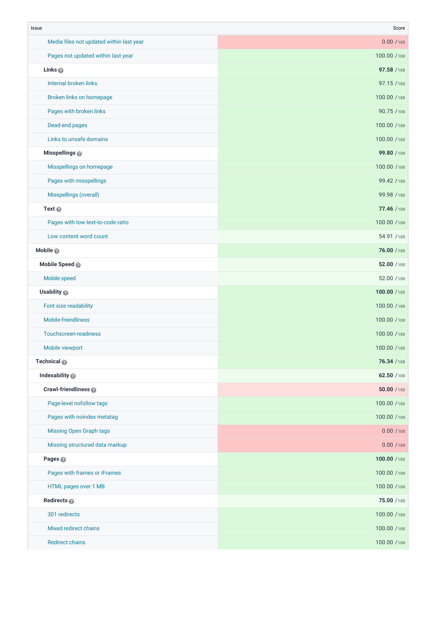| Issue                                    | Score       |
|------------------------------------------|-------------|
| Media files not updated within last year | 0.00 / 100  |
| Pages not updated within last year       | 100.00 /100 |
| Links <sup>®</sup>                       | 97.58 /100  |
| Internal broken links                    | 97.15 /100  |
| Broken links on homepage                 | 100.00 /100 |
| Pages with broken links                  | 90.75 /100  |
| Dead-end pages                           | 100.00 /100 |
| Links to unsafe domains                  | 100.00 /100 |
| Misspellings @                           | 99.80 /100  |
| Misspellings on homepage                 | 100.00 /100 |
| Pages with misspellings                  | 99.42 / 100 |
| Misspellings (overall)                   | 99.98 /100  |
| Text @                                   | 77.46 / 100 |
| Pages with low text-to-code ratio        | 100.00 /100 |
| Low content word count                   | 54.91 /100  |
| Mobile <sup>®</sup>                      | 76.00 / 100 |
| Mobile Speed                             | 52.00 / 100 |
| Mobile speed                             | 52.00 / 100 |
| Usability @                              | 100.00 /100 |
| Font size readability                    | 100.00 /100 |
| Mobile-friendliness                      | 100.00 /100 |
| Touchscreen-readiness                    | 100.00 /100 |
| Mobile viewport                          | 100.00 /100 |
| Technical @                              | 76.34 / 100 |
| Indexability @                           | 62.50 / 100 |
| Crawl-friendliness @                     | 50.00 / 100 |
| Page-level nofollow tags                 | 100.00 /100 |
| Pages with noindex metatag               | 100.00 /100 |
| <b>Missing Open Graph tags</b>           | 0.00 / 100  |
| Missing structured data markup           | 0.00 / 100  |
| Pages <sup><sup>®</sup></sup>            | 100.00 /100 |
| Pages with frames or iFrames             | 100.00 /100 |
| HTML pages over 1 MB                     | 100.00 /100 |
| Redirects <sub>®</sub>                   | 75.00 / 100 |
| 301 redirects                            | 100.00 /100 |
| Mixed redirect chains                    | 100.00 /100 |
| <b>Redirect chains</b>                   | 100.00 /100 |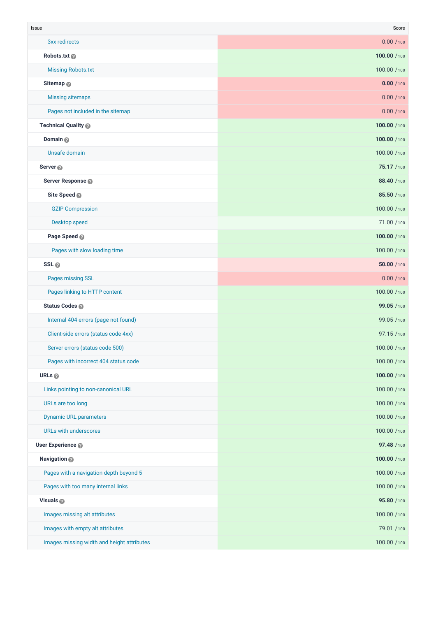| Issue                                      | Score        |
|--------------------------------------------|--------------|
| 3xx redirects                              | 0.00 / 100   |
| Robots.txt                                 | 100.00 /100  |
| <b>Missing Robots.txt</b>                  | 100.00 /100  |
| Sitemap <sup>®</sup>                       | 0.00 / 100   |
| <b>Missing sitemaps</b>                    | 0.00 / 100   |
| Pages not included in the sitemap          | 0.00 / 100   |
| Technical Quality                          | 100.00 /100  |
| Domain <sup>®</sup>                        | 100.00 /100  |
| Unsafe domain                              | 100.00 /100  |
| Server <sup>®</sup>                        | 75.17 /100   |
| Server Response @                          | 88.40 / 100  |
| Site Speed                                 | 85.50 /100   |
| <b>GZIP Compression</b>                    | 100.00 /100  |
| Desktop speed                              | 71.00 /100   |
| Page Speed                                 | 100.00 /100  |
| Pages with slow loading time               | 100.00 /100  |
| SSL <sub>@</sub>                           | 50.00 / 100  |
| Pages missing SSL                          | 0.00 / 100   |
| Pages linking to HTTP content              | 100.00 /100  |
| Status Codes @                             | 99.05 /100   |
| Internal 404 errors (page not found)       | 99.05 /100   |
| Client-side errors (status code 4xx)       | 97.15 /100   |
| Server errors (status code 500)            | 100.00 /100  |
| Pages with incorrect 404 status code       | 100.00 / 100 |
| URLs <sub>®</sub>                          | 100.00 /100  |
| Links pointing to non-canonical URL        | 100.00 /100  |
| URLs are too long                          | 100.00 /100  |
| <b>Dynamic URL parameters</b>              | 100.00 /100  |
| URLs with underscores                      | 100.00 /100  |
| User Experience @                          | 97.48 / 100  |
| Navigation @                               | 100.00 /100  |
| Pages with a navigation depth beyond 5     | 100.00 /100  |
| Pages with too many internal links         | 100.00 /100  |
| Visuals @                                  | 95.80 /100   |
| Images missing alt attributes              | 100.00 /100  |
| Images with empty alt attributes           | 79.01 /100   |
| Images missing width and height attributes | 100.00 /100  |